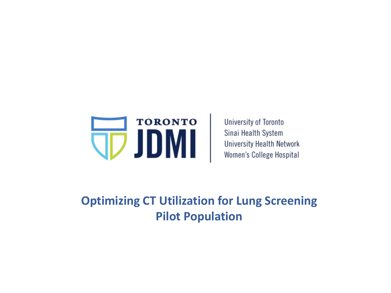

University of Toronto Sinai Health System **University Health Network** Women's College Hospital

**Optimizing CT Utilization for Lung Screening Pilot Population**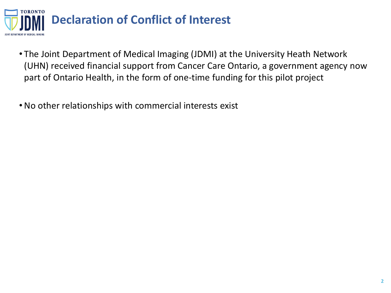

- The Joint Department of Medical Imaging (JDMI) at the University Heath Network (UHN) received financial support from Cancer Care Ontario, a government agency now part of Ontario Health, in the form of one-time funding for this pilot project
- •No other relationships with commercial interests exist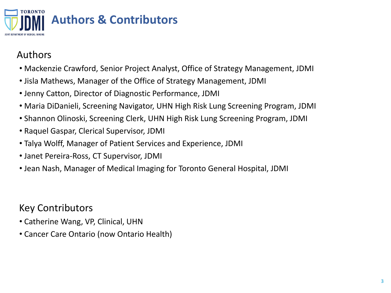

# Authors

- Mackenzie Crawford, Senior Project Analyst, Office of Strategy Management, JDMI
- Jisla Mathews, Manager of the Office of Strategy Management, JDMI
- Jenny Catton, Director of Diagnostic Performance, JDMI
- Maria DiDanieli, Screening Navigator, UHN High Risk Lung Screening Program, JDMI
- Shannon Olinoski, Screening Clerk, UHN High Risk Lung Screening Program, JDMI
- Raquel Gaspar, Clerical Supervisor, JDMI
- Talya Wolff, Manager of Patient Services and Experience, JDMI
- Janet Pereira-Ross, CT Supervisor, JDMI
- Jean Nash, Manager of Medical Imaging for Toronto General Hospital, JDMI

# Key Contributors

- Catherine Wang, VP, Clinical, UHN
- Cancer Care Ontario (now Ontario Health)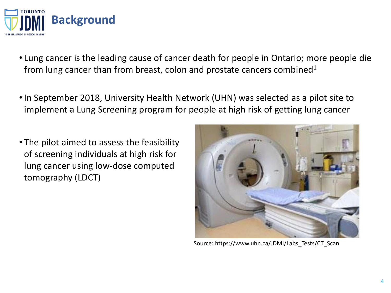

- Lung cancer is the leading cause of cancer death for people in Ontario; more people die from lung cancer than from breast, colon and prostate cancers combined<sup>1</sup>
- •In September 2018, University Health Network (UHN) was selected as a pilot site to implement a Lung Screening program for people at high risk of getting lung cancer
- The pilot aimed to assess the feasibility of screening individuals at high risk for lung cancer using low-dose computed tomography (LDCT)



Source: https://www.uhn.ca/JDMI/Labs\_Tests/CT\_Scan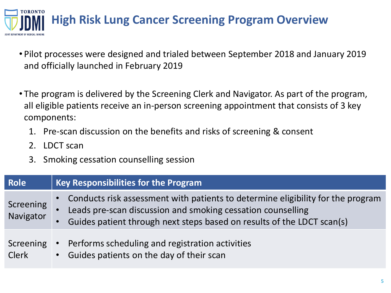

- Pilot processes were designed and trialed between September 2018 and January 2019 and officially launched in February 2019
- The program is delivered by the Screening Clerk and Navigator. As part of the program, all eligible patients receive an in-person screening appointment that consists of 3 key components:
	- 1. Pre-scan discussion on the benefits and risks of screening & consent
	- 2. LDCT scan
	- 3. Smoking cessation counselling session

| <b>Role</b>               | <b>Key Responsibilities for the Program</b>                                                                                                                                                                                                        |  |  |  |  |  |  |
|---------------------------|----------------------------------------------------------------------------------------------------------------------------------------------------------------------------------------------------------------------------------------------------|--|--|--|--|--|--|
| Screening<br>Navigator    | Conducts risk assessment with patients to determine eligibility for the program<br>Leads pre-scan discussion and smoking cessation counselling<br>$\bullet$<br>Guides patient through next steps based on results of the LDCT scan(s)<br>$\bullet$ |  |  |  |  |  |  |
| Screening<br><b>Clerk</b> | Performs scheduling and registration activities<br>$\bullet$<br>Guides patients on the day of their scan<br>$\bullet$                                                                                                                              |  |  |  |  |  |  |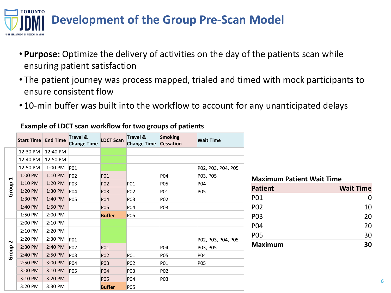

- **Purpose:** Optimize the delivery of activities on the day of the patients scan while ensuring patient satisfaction
- The patient journey was process mapped, trialed and timed with mock participants to ensure consistent flow
- 10-min buffer was built into the workflow to account for any unanticipated delays

|                 | <b>Start Time   End Time</b> |          | <b>Travel &amp;</b><br><b>Change Time</b> | <b>LDCT Scan</b> | Travel &<br><b>Change Time</b> | <b>Smoking</b><br><b>Cessation</b> | <b>Wait Time</b>   |
|-----------------|------------------------------|----------|-------------------------------------------|------------------|--------------------------------|------------------------------------|--------------------|
| H<br>Group      | 12:30 PM                     | 12:40 PM |                                           |                  |                                |                                    |                    |
|                 | 12:40 PM                     | 12:50 PM |                                           |                  |                                |                                    |                    |
|                 | 12:50 PM                     | 1:00 PM  | P <sub>01</sub>                           |                  |                                |                                    | P02, P03, P04, P05 |
|                 | 1:00 PM                      | 1:10 PM  | P02                                       | P01              |                                | P04                                | P03, P05           |
|                 | 1:10 PM                      | 1:20 PM  | P03                                       | P02              | P01                            | P05                                | <b>P04</b>         |
|                 | 1:20 PM                      | 1:30 PM  | P04                                       | P03              | P02                            | P01                                | P05                |
|                 | 1:30 PM                      | 1:40 PM  | <b>PO5</b>                                | <b>P04</b>       | P03                            | P <sub>02</sub>                    |                    |
|                 | 1:40 PM                      | 1:50 PM  |                                           | <b>PO5</b>       | P04                            | P <sub>0</sub> 3                   |                    |
|                 | 1:50 PM                      | 2:00 PM  |                                           | <b>Buffer</b>    | P05                            |                                    |                    |
| $\sim$<br>Group | 2:00 PM                      | 2:10 PM  |                                           |                  |                                |                                    |                    |
|                 | 2:10 PM                      | 2:20 PM  |                                           |                  |                                |                                    |                    |
|                 | 2:20 PM                      | 2:30 PM  | <b>P01</b>                                |                  |                                |                                    | P02, P03, P04, P05 |
|                 | 2:30 PM                      | 2:40 PM  | P <sub>02</sub>                           | <b>PO1</b>       |                                | P04                                | P03, P05           |
|                 | 2:40 PM                      | 2:50 PM  | P <sub>03</sub>                           | P <sub>02</sub>  | P01                            | <b>PO5</b>                         | <b>P04</b>         |
|                 | 2:50 PM                      | 3:00 PM  | P04                                       | <b>PO3</b>       | P02                            | P01                                | <b>PO5</b>         |
|                 | 3:00 PM                      | 3:10 PM  | P05                                       | P04              | P03                            | P02                                |                    |
|                 | 3:10 PM                      | 3:20 PM  |                                           | <b>P05</b>       | P04                            | P03                                |                    |
|                 | 3:20 PM                      | 3:30 PM  |                                           | <b>Buffer</b>    | P05                            |                                    |                    |

**Example of LDCT scan workflow for two groups of patients**

| <b>Maximum Patient Wait Time</b> |                  |  |  |  |  |  |
|----------------------------------|------------------|--|--|--|--|--|
| <b>Patient</b>                   | <b>Wait Time</b> |  |  |  |  |  |
| <b>PO1</b>                       | O                |  |  |  |  |  |
| <b>PO2</b>                       | 10               |  |  |  |  |  |
| P <sub>0</sub> 3                 | 20               |  |  |  |  |  |
| P04                              | 20               |  |  |  |  |  |
| <b>PO5</b>                       | 30               |  |  |  |  |  |
| <b>Maximum</b>                   |                  |  |  |  |  |  |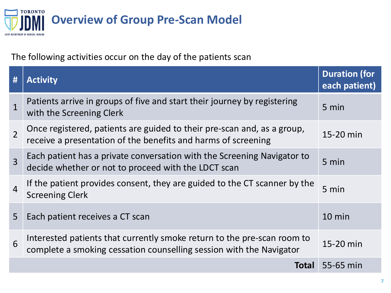

The following activities occur on the day of the patients scan

| #              | <b>Activity</b>                                                                                                                                | <b>Duration (for</b><br>each patient) |
|----------------|------------------------------------------------------------------------------------------------------------------------------------------------|---------------------------------------|
|                | Patients arrive in groups of five and start their journey by registering<br>with the Screening Clerk                                           | 5 min                                 |
| $\overline{2}$ | Once registered, patients are guided to their pre-scan and, as a group,<br>receive a presentation of the benefits and harms of screening       | 15-20 min                             |
| $\overline{3}$ | Each patient has a private conversation with the Screening Navigator to<br>decide whether or not to proceed with the LDCT scan                 | 5 min                                 |
| $\overline{4}$ | If the patient provides consent, they are guided to the CT scanner by the<br><b>Screening Clerk</b>                                            | 5 min                                 |
| 5              | Each patient receives a CT scan                                                                                                                | $10 \text{ min}$                      |
| 6              | Interested patients that currently smoke return to the pre-scan room to<br>complete a smoking cessation counselling session with the Navigator | 15-20 min                             |
|                | Total                                                                                                                                          | 55-65 min                             |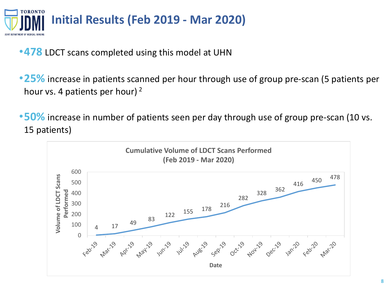

- •**478** LDCT scans completed using this model at UHN
- •**25%** increase in patients scanned per hour through use of group pre-scan (5 patients per hour vs. 4 patients per hour)  $^2$
- •**50%** increase in number of patients seen per day through use of group pre-scan (10 vs. 15 patients)

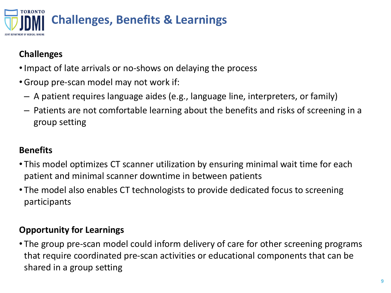

# **Challenges**

- •Impact of late arrivals or no-shows on delaying the process
- •Group pre-scan model may not work if:
	- A patient requires language aides (e.g., language line, interpreters, or family)
	- Patients are not comfortable learning about the benefits and risks of screening in a group setting

# **Benefits**

- This model optimizes CT scanner utilization by ensuring minimal wait time for each patient and minimal scanner downtime in between patients
- The model also enables CT technologists to provide dedicated focus to screening participants

# **Opportunity for Learnings**

• The group pre-scan model could inform delivery of care for other screening programs that require coordinated pre-scan activities or educational components that can be shared in a group setting